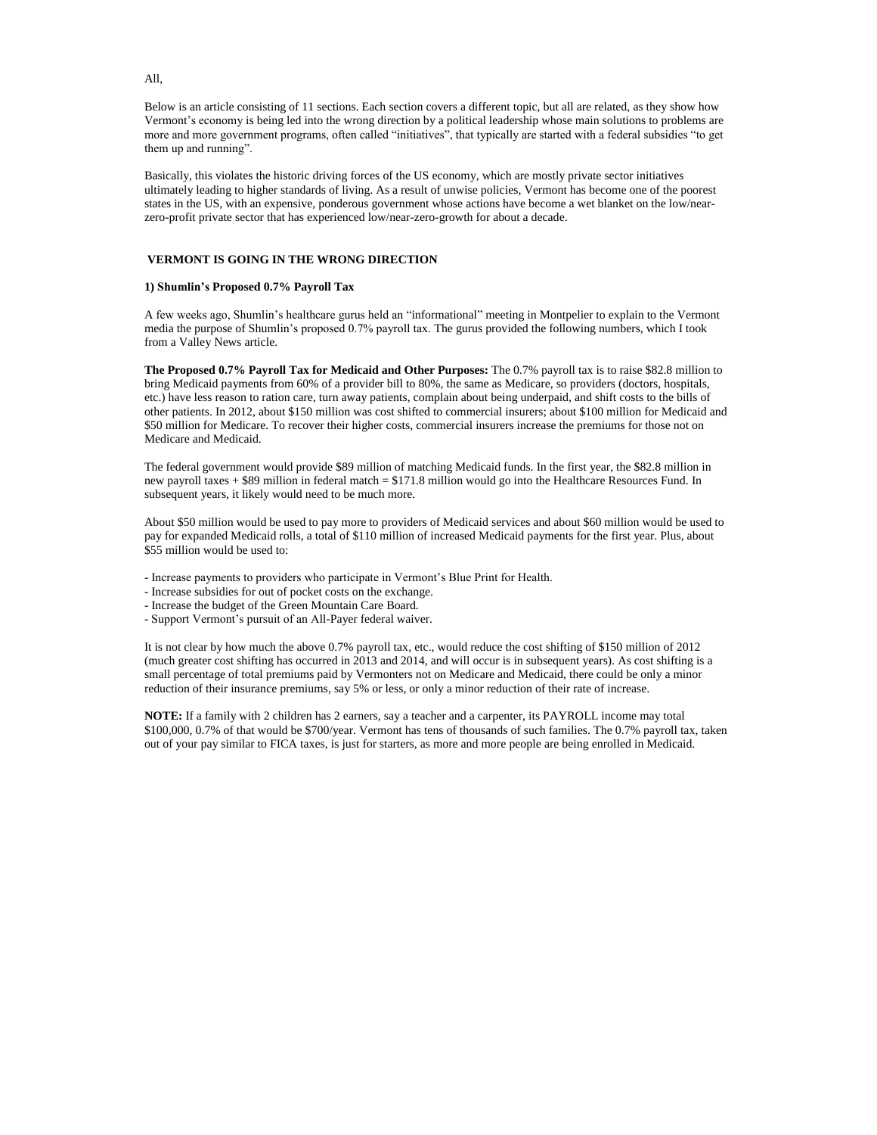All,

Below is an article consisting of 11 sections. Each section covers a different topic, but all are related, as they show how Vermont's economy is being led into the wrong direction by a political leadership whose main solutions to problems are more and more government programs, often called "initiatives", that typically are started with a federal subsidies "to get them up and running".

Basically, this violates the historic driving forces of the US economy, which are mostly private sector initiatives ultimately leading to higher standards of living. As a result of unwise policies, Vermont has become one of the poorest states in the US, with an expensive, ponderous government whose actions have become a wet blanket on the low/nearzero-profit private sector that has experienced low/near-zero-growth for about a decade.

# **VERMONT IS GOING IN THE WRONG DIRECTION**

## **1) Shumlin's Proposed 0.7% Payroll Tax**

A few weeks ago, Shumlin's healthcare gurus held an "informational" meeting in Montpelier to explain to the Vermont media the purpose of Shumlin's proposed 0.7% payroll tax. The gurus provided the following numbers, which I took from a Valley News article.

**The Proposed 0.7% Payroll Tax for Medicaid and Other Purposes:** The 0.7% payroll tax is to raise \$82.8 million to bring Medicaid payments from 60% of a provider bill to 80%, the same as Medicare, so providers (doctors, hospitals, etc.) have less reason to ration care, turn away patients, complain about being underpaid, and shift costs to the bills of other patients. In 2012, about \$150 million was cost shifted to commercial insurers; about \$100 million for Medicaid and \$50 million for Medicare. To recover their higher costs, commercial insurers increase the premiums for those not on Medicare and Medicaid.

The federal government would provide \$89 million of matching Medicaid funds. In the first year, the \$82.8 million in new payroll taxes + \$89 million in federal match = \$171.8 million would go into the Healthcare Resources Fund. In subsequent years, it likely would need to be much more.

About \$50 million would be used to pay more to providers of Medicaid services and about \$60 million would be used to pay for expanded Medicaid rolls, a total of \$110 million of increased Medicaid payments for the first year. Plus, about \$55 million would be used to:

- Increase payments to providers who participate in Vermont's Blue Print for Health.
- Increase subsidies for out of pocket costs on the exchange.
- Increase the budget of the Green Mountain Care Board.
- Support Vermont's pursuit of an All-Payer federal waiver.

It is not clear by how much the above 0.7% payroll tax, etc., would reduce the cost shifting of \$150 million of 2012 (much greater cost shifting has occurred in 2013 and 2014, and will occur is in subsequent years). As cost shifting is a small percentage of total premiums paid by Vermonters not on Medicare and Medicaid, there could be only a minor reduction of their insurance premiums, say 5% or less, or only a minor reduction of their rate of increase.

**NOTE:** If a family with 2 children has 2 earners, say a teacher and a carpenter, its PAYROLL income may total \$100,000, 0.7% of that would be \$700/year. Vermont has tens of thousands of such families. The 0.7% payroll tax, taken out of your pay similar to FICA taxes, is just for starters, as more and more people are being enrolled in Medicaid.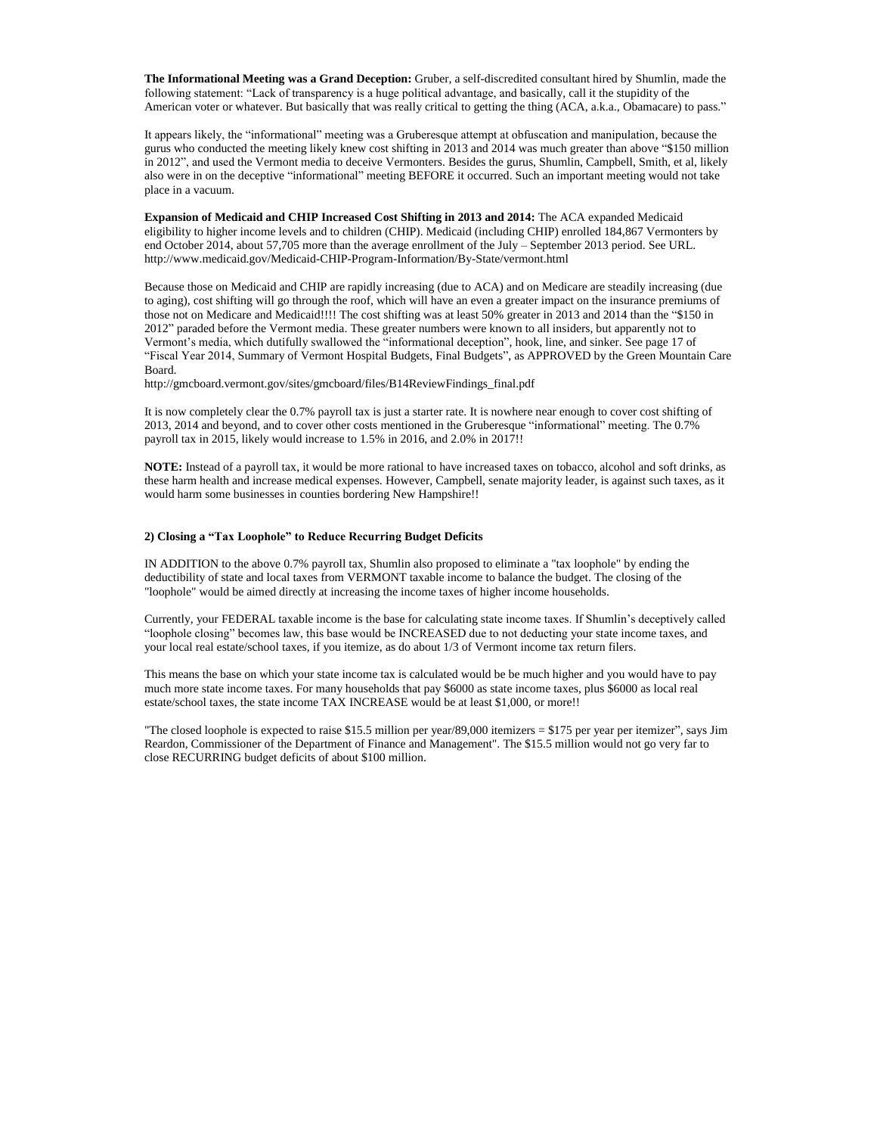**The Informational Meeting was a Grand Deception:** Gruber, a self-discredited consultant hired by Shumlin, made the following statement: "Lack of transparency is a huge political advantage, and basically, call it the stupidity of the American voter or whatever. But basically that was really critical to getting the thing (ACA, a.k.a., Obamacare) to pass."

It appears likely, the "informational" meeting was a Gruberesque attempt at obfuscation and manipulation, because the gurus who conducted the meeting likely knew cost shifting in 2013 and 2014 was much greater than above "\$150 million in 2012", and used the Vermont media to deceive Vermonters. Besides the gurus, Shumlin, Campbell, Smith, et al, likely also were in on the deceptive "informational" meeting BEFORE it occurred. Such an important meeting would not take place in a vacuum.

**Expansion of Medicaid and CHIP Increased Cost Shifting in 2013 and 2014:** The ACA expanded Medicaid eligibility to higher income levels and to children (CHIP). Medicaid (including CHIP) enrolled 184,867 Vermonters by end October 2014, about 57,705 more than the average enrollment of the July – September 2013 period. See URL. http://www.medicaid.gov/Medicaid-CHIP-Program-Information/By-State/vermont.html

Because those on Medicaid and CHIP are rapidly increasing (due to ACA) and on Medicare are steadily increasing (due to aging), cost shifting will go through the roof, which will have an even a greater impact on the insurance premiums of those not on Medicare and Medicaid!!!! The cost shifting was at least 50% greater in 2013 and 2014 than the "\$150 in 2012" paraded before the Vermont media. These greater numbers were known to all insiders, but apparently not to Vermont's media, which dutifully swallowed the "informational deception", hook, line, and sinker. See page 17 of "Fiscal Year 2014, Summary of Vermont Hospital Budgets, Final Budgets", as APPROVED by the Green Mountain Care Board.

http://gmcboard.vermont.gov/sites/gmcboard/files/B14ReviewFindings\_final.pdf

It is now completely clear the 0.7% payroll tax is just a starter rate. It is nowhere near enough to cover cost shifting of 2013, 2014 and beyond, and to cover other costs mentioned in the Gruberesque "informational" meeting. The 0.7% payroll tax in 2015, likely would increase to 1.5% in 2016, and 2.0% in 2017!!

**NOTE:** Instead of a payroll tax, it would be more rational to have increased taxes on tobacco, alcohol and soft drinks, as these harm health and increase medical expenses. However, Campbell, senate majority leader, is against such taxes, as it would harm some businesses in counties bordering New Hampshire!!

# **2) Closing a "Tax Loophole" to Reduce Recurring Budget Deficits**

IN ADDITION to the above 0.7% payroll tax, Shumlin also proposed to eliminate a "tax loophole" by ending the deductibility of state and local taxes from VERMONT taxable income to balance the budget. The closing of the "loophole" would be aimed directly at increasing the income taxes of higher income households.

Currently, your FEDERAL taxable income is the base for calculating state income taxes. If Shumlin's deceptively called "loophole closing" becomes law, this base would be INCREASED due to not deducting your state income taxes, and your local real estate/school taxes, if you itemize, as do about 1/3 of Vermont income tax return filers.

This means the base on which your state income tax is calculated would be be much higher and you would have to pay much more state income taxes. For many households that pay \$6000 as state income taxes, plus \$6000 as local real estate/school taxes, the state income TAX INCREASE would be at least \$1,000, or more!!

"The closed loophole is expected to raise \$15.5 million per year/89,000 itemizers = \$175 per year per itemizer", says Jim Reardon, Commissioner of the Department of Finance and Management". The \$15.5 million would not go very far to close RECURRING budget deficits of about \$100 million.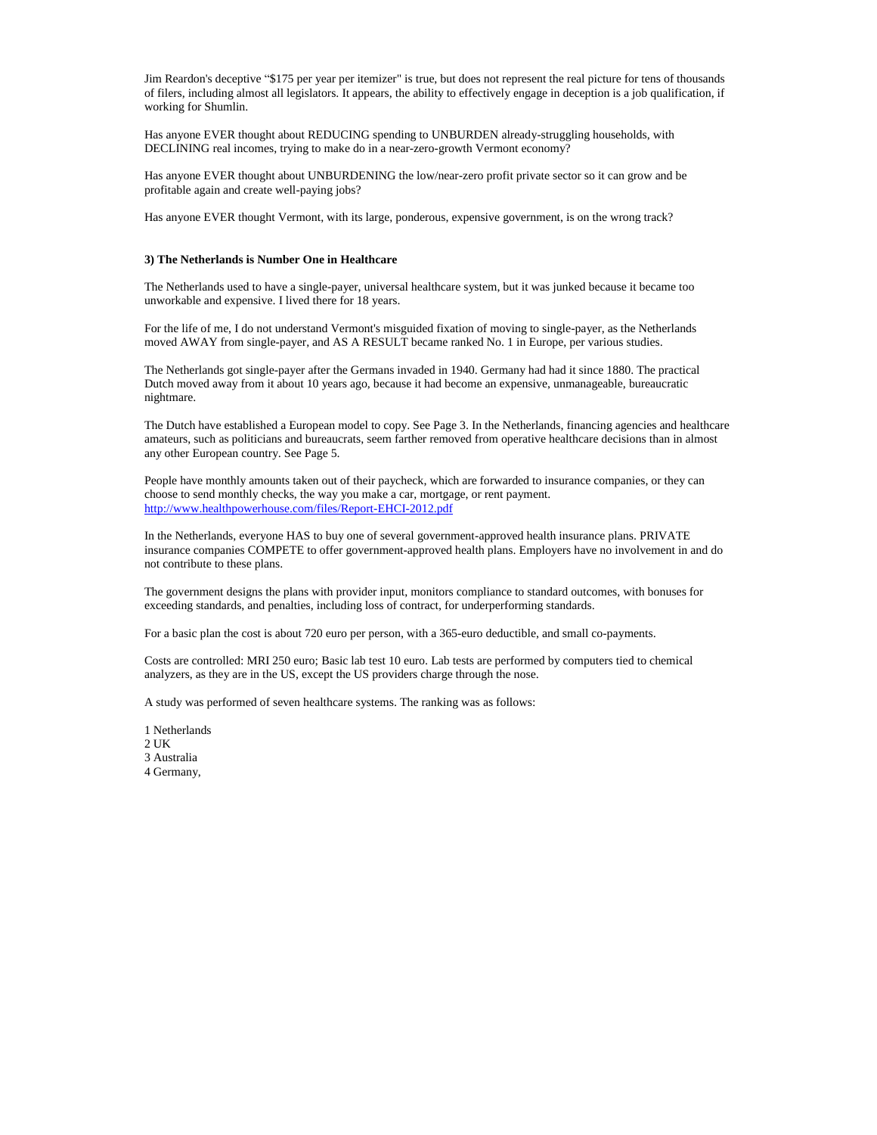Jim Reardon's deceptive "\$175 per year per itemizer" is true, but does not represent the real picture for tens of thousands of filers, including almost all legislators. It appears, the ability to effectively engage in deception is a job qualification, if working for Shumlin.

Has anyone EVER thought about REDUCING spending to UNBURDEN already-struggling households, with DECLINING real incomes, trying to make do in a near-zero-growth Vermont economy?

Has anyone EVER thought about UNBURDENING the low/near-zero profit private sector so it can grow and be profitable again and create well-paying jobs?

Has anyone EVER thought Vermont, with its large, ponderous, expensive government, is on the wrong track?

#### **3) The Netherlands is Number One in Healthcare**

The Netherlands used to have a single-payer, universal healthcare system, but it was junked because it became too unworkable and expensive. I lived there for 18 years.

For the life of me, I do not understand Vermont's misguided fixation of moving to single-payer, as the Netherlands moved AWAY from single-payer, and AS A RESULT became ranked No. 1 in Europe, per various studies.

The Netherlands got single-payer after the Germans invaded in 1940. Germany had had it since 1880. The practical Dutch moved away from it about 10 years ago, because it had become an expensive, unmanageable, bureaucratic nightmare.

The Dutch have established a European model to copy. See Page 3. In the Netherlands, financing agencies and healthcare amateurs, such as politicians and bureaucrats, seem farther removed from operative healthcare decisions than in almost any other European country. See Page 5.

People have monthly amounts taken out of their paycheck, which are forwarded to insurance companies, or they can choose to send monthly checks, the way you make a car, mortgage, or rent payment. <http://www.healthpowerhouse.com/files/Report-EHCI-2012.pdf>

In the Netherlands, everyone HAS to buy one of several government-approved health insurance plans. PRIVATE insurance companies COMPETE to offer government-approved health plans. Employers have no involvement in and do not contribute to these plans.

The government designs the plans with provider input, monitors compliance to standard outcomes, with bonuses for exceeding standards, and penalties, including loss of contract, for underperforming standards.

For a basic plan the cost is about 720 euro per person, with a 365-euro deductible, and small co-payments.

Costs are controlled: MRI 250 euro; Basic lab test 10 euro. Lab tests are performed by computers tied to chemical analyzers, as they are in the US, except the US providers charge through the nose.

A study was performed of seven healthcare systems. The ranking was as follows:

- 1 Netherlands
- 2 UK
- 3 Australia
- 4 Germany,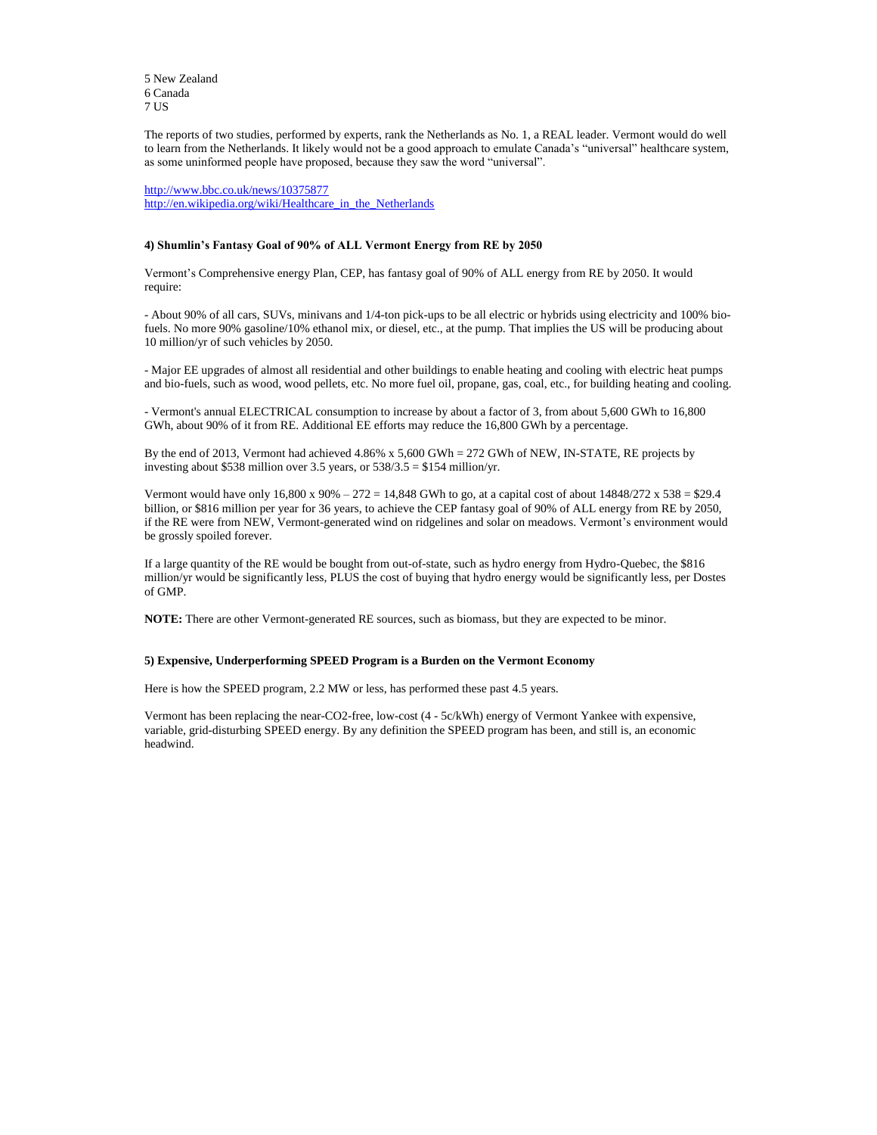5 New Zealand 6 Canada 7 US

The reports of two studies, performed by experts, rank the Netherlands as No. 1, a REAL leader. Vermont would do well to learn from the Netherlands. It likely would not be a good approach to emulate Canada's "universal" healthcare system, as some uninformed people have proposed, because they saw the word "universal".

<http://www.bbc.co.uk/news/10375877> [http://en.wikipedia.org/wiki/Healthcare\\_in\\_the\\_Netherlands](http://en.wikipedia.org/wiki/Healthcare_in_the_Netherlands)

# **4) Shumlin's Fantasy Goal of 90% of ALL Vermont Energy from RE by 2050**

Vermont's Comprehensive energy Plan, CEP, has fantasy goal of 90% of ALL energy from RE by 2050. It would require:

By the end of 2013, Vermont had achieved 4.86% x 5,600 GWh = 272 GWh of NEW, IN-STATE, RE projects by investing about \$538 million over 3.5 years, or  $538/3.5 = $154$  million/yr.

- About 90% of all cars, SUVs, minivans and 1/4-ton pick-ups to be all electric or hybrids using electricity and 100% biofuels. No more 90% gasoline/10% ethanol mix, or diesel, etc., at the pump. That implies the US will be producing about 10 million/yr of such vehicles by 2050.

Vermont would have only  $16,800 \text{ x } 90\% - 272 = 14,848 \text{ GWh}$  to go, at a capital cost of about  $14848/272 \text{ x } 538 = $29.4$ billion, or \$816 million per year for 36 years, to achieve the CEP fantasy goal of 90% of ALL energy from RE by 2050, if the RE were from NEW, Vermont-generated wind on ridgelines and solar on meadows. Vermont's environment would be grossly spoiled forever.

- Major EE upgrades of almost all residential and other buildings to enable heating and cooling with electric heat pumps and bio-fuels, such as wood, wood pellets, etc. No more fuel oil, propane, gas, coal, etc., for building heating and cooling.

- Vermont's annual ELECTRICAL consumption to increase by about a factor of 3, from about 5,600 GWh to 16,800 GWh, about 90% of it from RE. Additional EE efforts may reduce the 16,800 GWh by a percentage.

If a large quantity of the RE would be bought from out-of-state, such as hydro energy from Hydro-Quebec, the \$816 million/yr would be significantly less, PLUS the cost of buying that hydro energy would be significantly less, per Dostes of GMP.

**NOTE:** There are other Vermont-generated RE sources, such as biomass, but they are expected to be minor.

## **5) Expensive, Underperforming SPEED Program is a Burden on the Vermont Economy**

Here is how the SPEED program, 2.2 MW or less, has performed these past 4.5 years.

Vermont has been replacing the near-CO2-free, low-cost (4 - 5c/kWh) energy of Vermont Yankee with expensive, variable, grid-disturbing SPEED energy. By any definition the SPEED program has been, and still is, an economic headwind.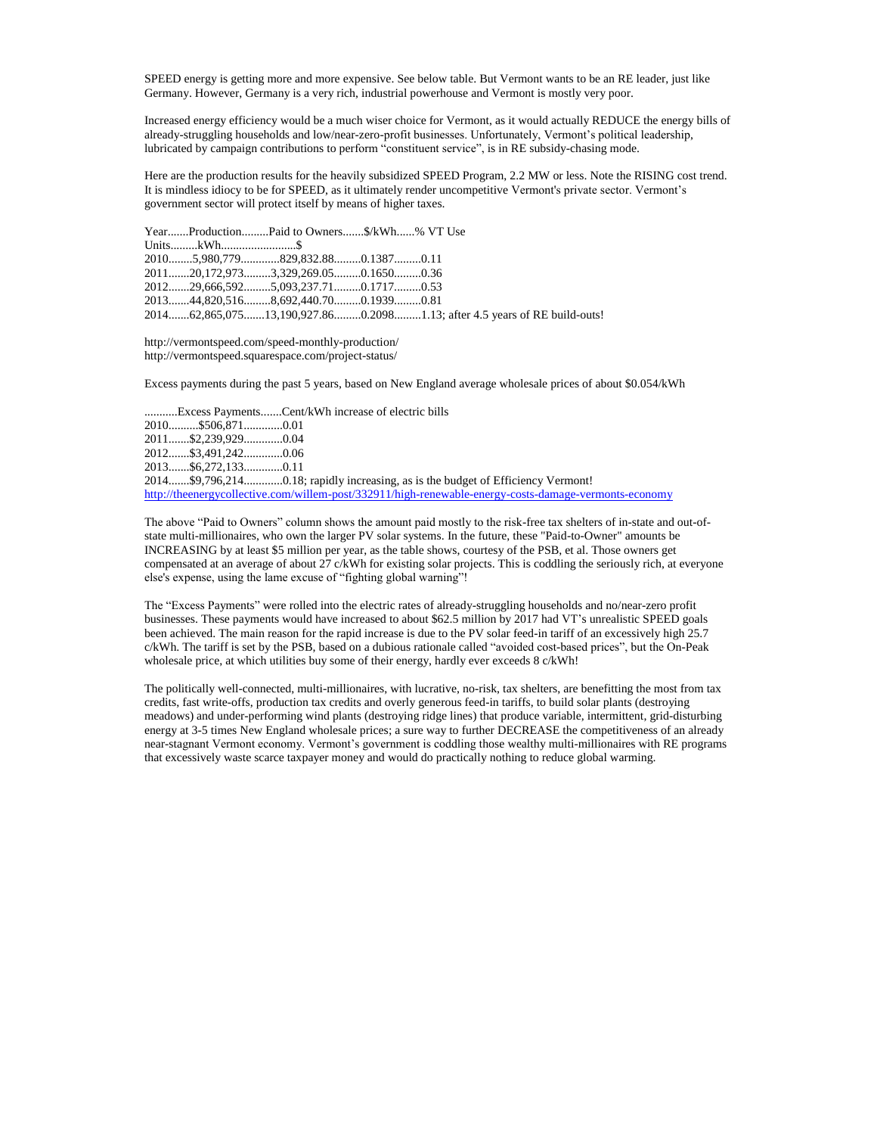SPEED energy is getting more and more expensive. See below table. But Vermont wants to be an RE leader, just like Germany. However, Germany is a very rich, industrial powerhouse and Vermont is mostly very poor.

Increased energy efficiency would be a much wiser choice for Vermont, as it would actually REDUCE the energy bills of already-struggling households and low/near-zero-profit businesses. Unfortunately, Vermont's political leadership, lubricated by campaign contributions to perform "constituent service", is in RE subsidy-chasing mode.

Here are the production results for the heavily subsidized SPEED Program, 2.2 MW or less. Note the RISING cost trend. It is mindless idiocy to be for SPEED, as it ultimately render uncompetitive Vermont's private sector. Vermont's government sector will protect itself by means of higher taxes.

|  | YearProductionPaid to Owners\$/kWh% VT Use |  |                                                                          |
|--|--------------------------------------------|--|--------------------------------------------------------------------------|
|  |                                            |  |                                                                          |
|  | 20105,980,779829,832.880.13870.11          |  |                                                                          |
|  | 201120,172,9733,329,269.050.16500.36       |  |                                                                          |
|  | 201229,666,5925,093,237.710.17170.53       |  |                                                                          |
|  | 201344,820,5168,692,440.700.19390.81       |  |                                                                          |
|  |                                            |  | 201462,865,07513,190,927.860.20981.13; after 4.5 years of RE build-outs! |

http://vermontspeed.com/speed-monthly-production/ http://vermontspeed.squarespace.com/project-status/

Excess payments during the past 5 years, based on New England average wholesale prices of about \$0.054/kWh

...........Excess Payments.......Cent/kWh increase of electric bills 2010..........\$506,871.............0.01 2011.......\$2,239,929.............0.04 2012.......\$3,491,242.............0.06 2013.......\$6,272,133.............0.11 2014.......\$9,796,214.............0.18; rapidly increasing, as is the budget of Efficiency Vermont! <http://theenergycollective.com/willem-post/332911/high-renewable-energy-costs-damage-vermonts-economy>

The above "Paid to Owners" column shows the amount paid mostly to the risk-free tax shelters of in-state and out-ofstate multi-millionaires, who own the larger PV solar systems. In the future, these "Paid-to-Owner" amounts be INCREASING by at least \$5 million per year, as the table shows, courtesy of the PSB, et al. Those owners get compensated at an average of about 27 c/kWh for existing solar projects. This is coddling the seriously rich, at everyone else's expense, using the lame excuse of "fighting global warning"!

The "Excess Payments" were rolled into the electric rates of already-struggling households and no/near-zero profit businesses. These payments would have increased to about \$62.5 million by 2017 had VT's unrealistic SPEED goals been achieved. The main reason for the rapid increase is due to the PV solar feed-in tariff of an excessively high 25.7 c/kWh. The tariff is set by the PSB, based on a dubious rationale called "avoided cost-based prices", but the On-Peak wholesale price, at which utilities buy some of their energy, hardly ever exceeds 8 c/kWh!

The politically well-connected, multi-millionaires, with lucrative, no-risk, tax shelters, are benefitting the most from tax credits, fast write-offs, production tax credits and overly generous feed-in tariffs, to build solar plants (destroying meadows) and under-performing wind plants (destroying ridge lines) that produce variable, intermittent, grid-disturbing energy at 3-5 times New England wholesale prices; a sure way to further DECREASE the competitiveness of an already near-stagnant Vermont economy. Vermont's government is coddling those wealthy multi-millionaires with RE programs that excessively waste scarce taxpayer money and would do practically nothing to reduce global warming.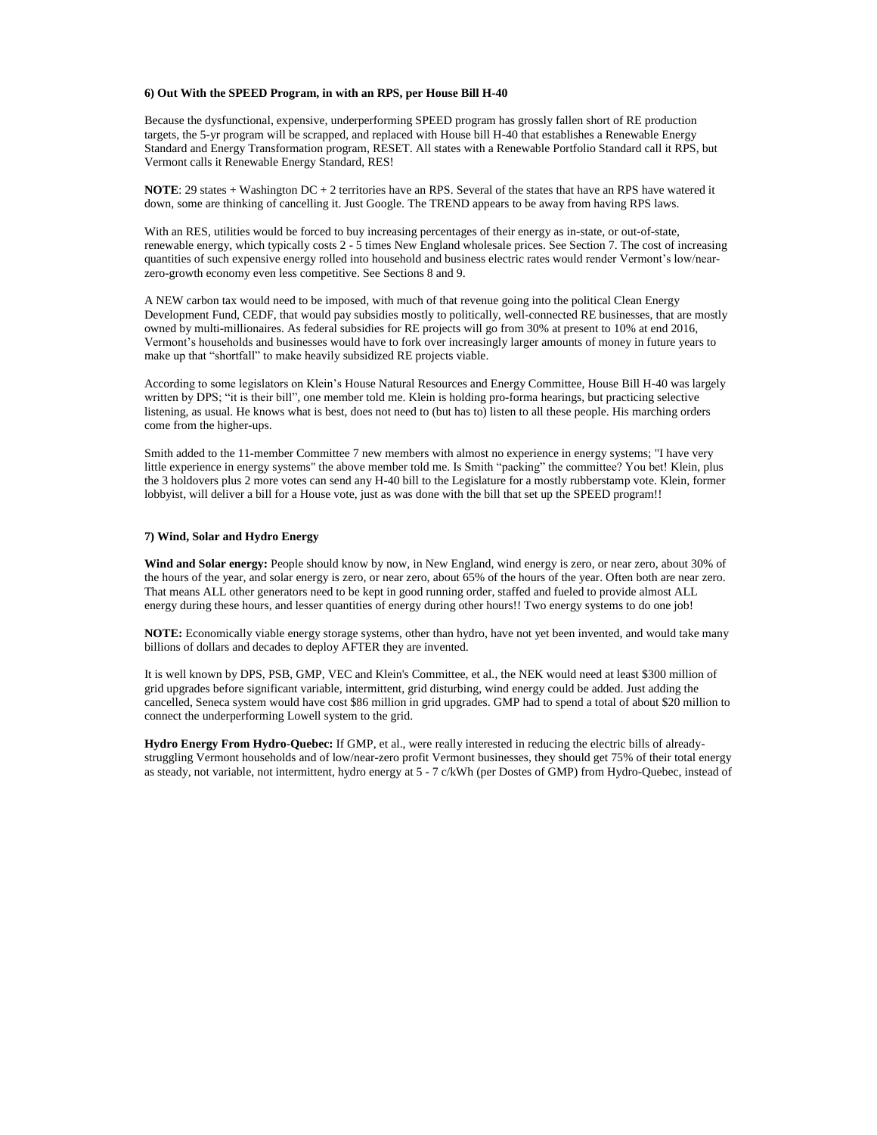### **6) Out With the SPEED Program, in with an RPS, per House Bill H-40**

Because the dysfunctional, expensive, underperforming SPEED program has grossly fallen short of RE production targets, the 5-yr program will be scrapped, and replaced with House bill H-40 that establishes a Renewable Energy Standard and Energy Transformation program, RESET. All states with a Renewable Portfolio Standard call it RPS, but Vermont calls it Renewable Energy Standard, RES!

**NOTE**: 29 states + Washington DC + 2 territories have an RPS. Several of the states that have an RPS have watered it down, some are thinking of cancelling it. Just Google. The TREND appears to be away from having RPS laws.

With an RES, utilities would be forced to buy increasing percentages of their energy as in-state, or out-of-state, renewable energy, which typically costs 2 - 5 times New England wholesale prices. See Section 7. The cost of increasing quantities of such expensive energy rolled into household and business electric rates would render Vermont's low/nearzero-growth economy even less competitive. See Sections 8 and 9.

Smith added to the 11-member Committee 7 new members with almost no experience in energy systems; "I have very little experience in energy systems" the above member told me. Is Smith "packing" the committee? You bet! Klein, plus the 3 holdovers plus 2 more votes can send any H-40 bill to the Legislature for a mostly rubberstamp vote. Klein, former lobbyist, will deliver a bill for a House vote, just as was done with the bill that set up the SPEED program!!

A NEW carbon tax would need to be imposed, with much of that revenue going into the political Clean Energy Development Fund, CEDF, that would pay subsidies mostly to politically, well-connected RE businesses, that are mostly owned by multi-millionaires. As federal subsidies for RE projects will go from 30% at present to 10% at end 2016, Vermont's households and businesses would have to fork over increasingly larger amounts of money in future years to make up that "shortfall" to make heavily subsidized RE projects viable.

According to some legislators on Klein's House Natural Resources and Energy Committee, House Bill H-40 was largely written by DPS; "it is their bill", one member told me. Klein is holding pro-forma hearings, but practicing selective listening, as usual. He knows what is best, does not need to (but has to) listen to all these people. His marching orders come from the higher-ups.

### **7) Wind, Solar and Hydro Energy**

**Wind and Solar energy:** People should know by now, in New England, wind energy is zero, or near zero, about 30% of the hours of the year, and solar energy is zero, or near zero, about 65% of the hours of the year. Often both are near zero. That means ALL other generators need to be kept in good running order, staffed and fueled to provide almost ALL energy during these hours, and lesser quantities of energy during other hours!! Two energy systems to do one job!

**NOTE:** Economically viable energy storage systems, other than hydro, have not yet been invented, and would take many billions of dollars and decades to deploy AFTER they are invented.

It is well known by DPS, PSB, GMP, VEC and Klein's Committee, et al., the NEK would need at least \$300 million of grid upgrades before significant variable, intermittent, grid disturbing, wind energy could be added. Just adding the cancelled, Seneca system would have cost \$86 million in grid upgrades. GMP had to spend a total of about \$20 million to connect the underperforming Lowell system to the grid.

**Hydro Energy From Hydro-Quebec:** If GMP, et al., were really interested in reducing the electric bills of alreadystruggling Vermont households and of low/near-zero profit Vermont businesses, they should get 75% of their total energy as steady, not variable, not intermittent, hydro energy at 5 - 7 c/kWh (per Dostes of GMP) from Hydro-Quebec, instead of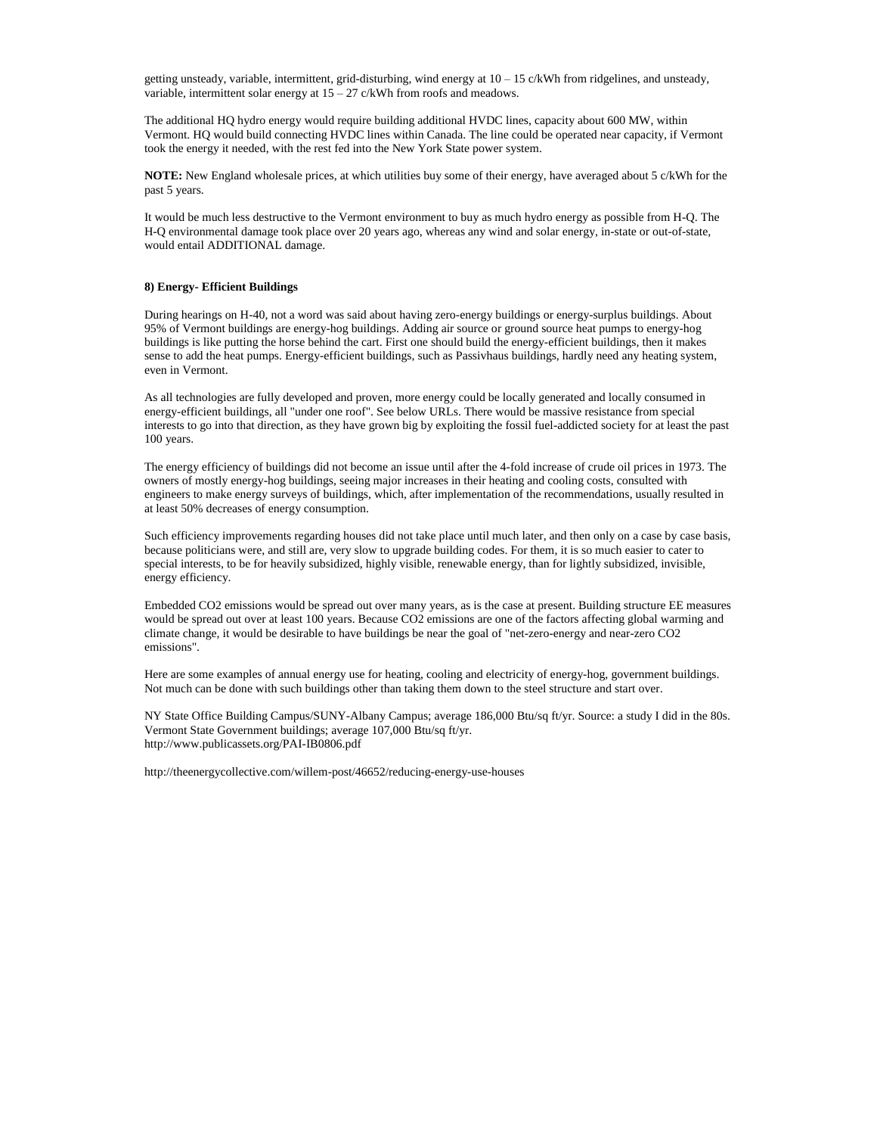getting unsteady, variable, intermittent, grid-disturbing, wind energy at 10 – 15 c/kWh from ridgelines, and unsteady, variable, intermittent solar energy at  $15 - 27$  c/kWh from roofs and meadows.

The additional HQ hydro energy would require building additional HVDC lines, capacity about 600 MW, within Vermont. HQ would build connecting HVDC lines within Canada. The line could be operated near capacity, if Vermont took the energy it needed, with the rest fed into the New York State power system.

**NOTE:** New England wholesale prices, at which utilities buy some of their energy, have averaged about 5 c/kWh for the past 5 years.

It would be much less destructive to the Vermont environment to buy as much hydro energy as possible from H-Q. The H-Q environmental damage took place over 20 years ago, whereas any wind and solar energy, in-state or out-of-state, would entail ADDITIONAL damage.

#### **8) Energy- Efficient Buildings**

During hearings on H-40, not a word was said about having zero-energy buildings or energy-surplus buildings. About 95% of Vermont buildings are energy-hog buildings. Adding air source or ground source heat pumps to energy-hog buildings is like putting the horse behind the cart. First one should build the energy-efficient buildings, then it makes sense to add the heat pumps. Energy-efficient buildings, such as Passivhaus buildings, hardly need any heating system, even in Vermont.

As all technologies are fully developed and proven, more energy could be locally generated and locally consumed in energy-efficient buildings, all "under one roof". See below URLs. There would be massive resistance from special interests to go into that direction, as they have grown big by exploiting the fossil fuel-addicted society for at least the past 100 years.

The energy efficiency of buildings did not become an issue until after the 4-fold increase of crude oil prices in 1973. The owners of mostly energy-hog buildings, seeing major increases in their heating and cooling costs, consulted with engineers to make energy surveys of buildings, which, after implementation of the recommendations, usually resulted in at least 50% decreases of energy consumption.

Such efficiency improvements regarding houses did not take place until much later, and then only on a case by case basis, because politicians were, and still are, very slow to upgrade building codes. For them, it is so much easier to cater to special interests, to be for heavily subsidized, highly visible, renewable energy, than for lightly subsidized, invisible, energy efficiency.

Embedded CO2 emissions would be spread out over many years, as is the case at present. Building structure EE measures would be spread out over at least 100 years. Because CO2 emissions are one of the factors affecting global warming and climate change, it would be desirable to have buildings be near the goal of "net-zero-energy and near-zero CO2 emissions".

Here are some examples of annual energy use for heating, cooling and electricity of energy-hog, government buildings. Not much can be done with such buildings other than taking them down to the steel structure and start over.

NY State Office Building Campus/SUNY-Albany Campus; average 186,000 Btu/sq ft/yr. Source: a study I did in the 80s. Vermont State Government buildings; average 107,000 Btu/sq ft/yr. http://www.publicassets.org/PAI-IB0806.pdf

<http://theenergycollective.com/willem-post/46652/reducing-energy-use-houses>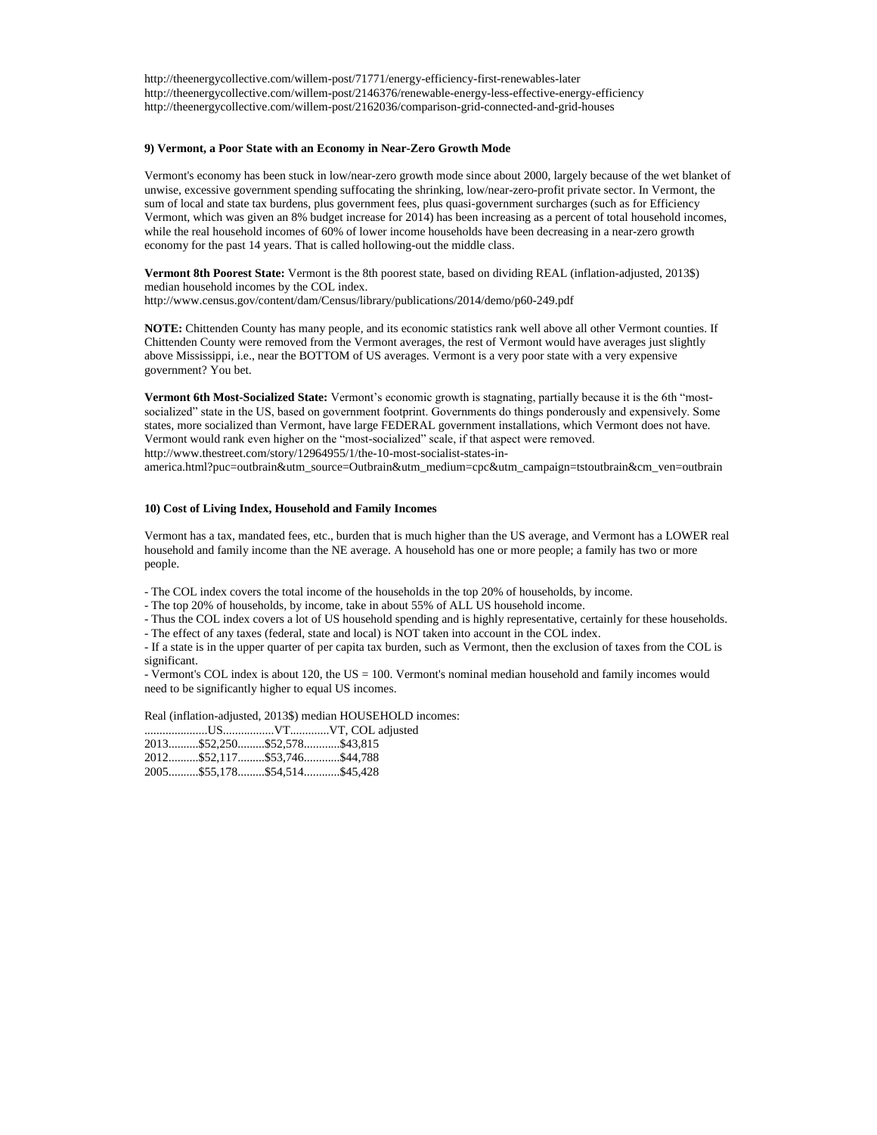http://theenergycollective.com/willem-post/71771/energy-efficiency-first-renewables-later http://theenergycollective.com/willem-post/2146376/renewable-energy-less-effective-energy-efficiency http://theenergycollective.com/willem-post/2162036/comparison-grid-connected-and-grid-houses

### **9) Vermont, a Poor State with an Economy in Near-Zero Growth Mode**

Vermont's economy has been stuck in low/near-zero growth mode since about 2000, largely because of the wet blanket of unwise, excessive government spending suffocating the shrinking, low/near-zero-profit private sector. In Vermont, the sum of local and state tax burdens, plus government fees, plus quasi-government surcharges (such as for Efficiency Vermont, which was given an 8% budget increase for 2014) has been increasing as a percent of total household incomes, while the real household incomes of 60% of lower income households have been decreasing in a near-zero growth economy for the past 14 years. That is called hollowing-out the middle class.

**Vermont 8th Poorest State:** Vermont is the 8th poorest state, based on dividing REAL (inflation-adjusted, 2013\$) median household incomes by the COL index. <http://www.census.gov/content/dam/Census/library/publications/2014/demo/p60-249.pdf>

**NOTE:** Chittenden County has many people, and its economic statistics rank well above all other Vermont counties. If Chittenden County were removed from the Vermont averages, the rest of Vermont would have averages just slightly above Mississippi, i.e., near the BOTTOM of US averages. Vermont is a very poor state with a very expensive government? You bet.

**Vermont 6th Most-Socialized State:** Vermont's economic growth is stagnating, partially because it is the 6th "mostsocialized" state in the US, based on government footprint. Governments do things ponderously and expensively. Some states, more socialized than Vermont, have large FEDERAL government installations, which Vermont does not have. Vermont would rank even higher on the "most-socialized" scale, if that aspect were removed. [http://www.thestreet.com/story/12964955/1/the-10-most-socialist-states-in-](http://www.thestreet.com/story/12964955/1/the-10-most-socialist-states-in-america.html?puc=outbrain&utm_source=Outbrain&utm_medium=cpc&utm_campaign=tstoutbrain&cm_ven=outbrain)

[america.html?puc=outbrain&utm\\_source=Outbrain&utm\\_medium=cpc&utm\\_campaign=tstoutbrain&cm\\_ven=outbrain](http://www.thestreet.com/story/12964955/1/the-10-most-socialist-states-in-america.html?puc=outbrain&utm_source=Outbrain&utm_medium=cpc&utm_campaign=tstoutbrain&cm_ven=outbrain)

#### **10) Cost of Living Index, Household and Family Incomes**

Vermont has a tax, mandated fees, etc., burden that is much higher than the US average, and Vermont has a LOWER real household and family income than the NE average. A household has one or more people; a family has two or more people.

- The COL index covers the total income of the households in the top 20% of households, by income.
- The top 20% of households, by income, take in about 55% of ALL US household income.
- Thus the COL index covers a lot of US household spending and is highly representative, certainly for these households.
- The effect of any taxes (federal, state and local) is NOT taken into account in the COL index.

- If a state is in the upper quarter of per capita tax burden, such as Vermont, then the exclusion of taxes from the COL is significant.

- Vermont's COL index is about 120, the US = 100. Vermont's nominal median household and family incomes would need to be significantly higher to equal US incomes.

Real (inflation-adjusted, 2013\$) median HOUSEHOLD incomes:

| 2013\$52,250\$52,578\$43,815 |  |
|------------------------------|--|
| 2012\$52,117\$53,746\$44,788 |  |
| 2005\$55,178\$54,514\$45,428 |  |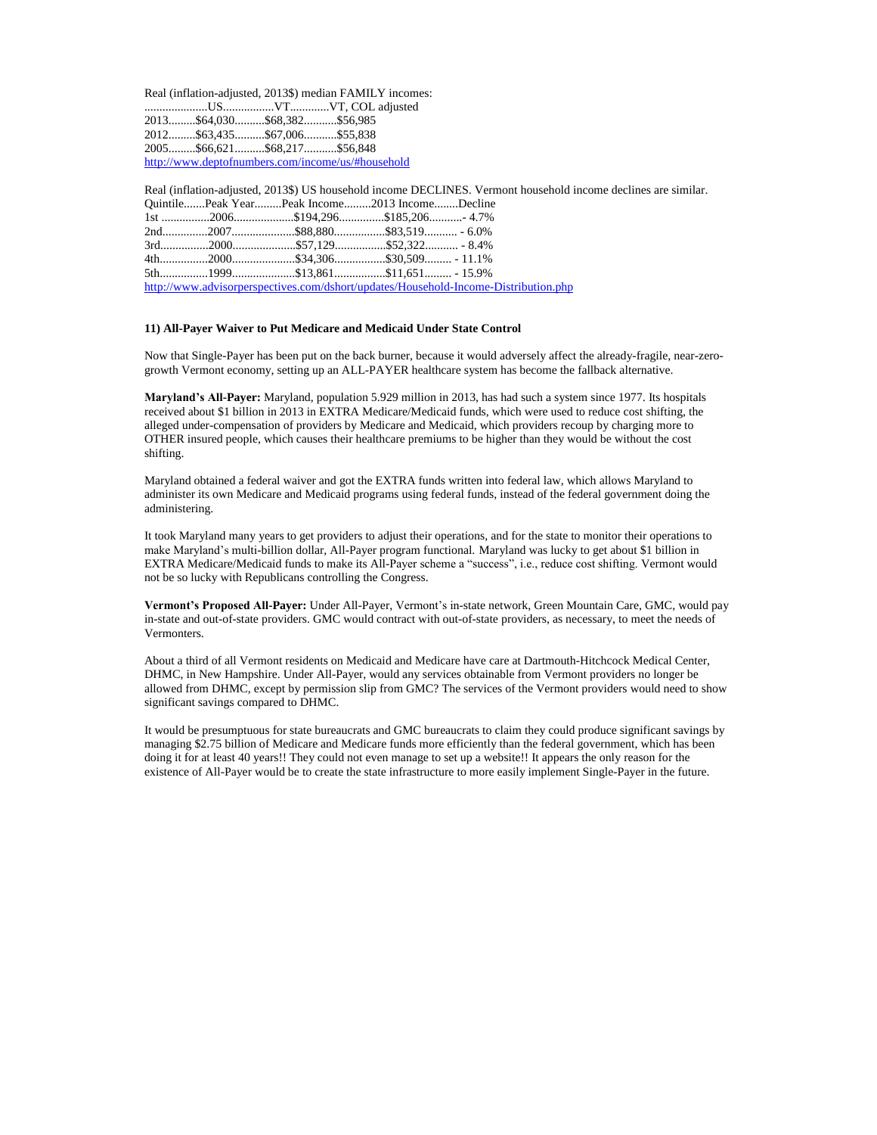Real (inflation-adjusted, 2013\$) median FAMILY incomes: .....................US.................VT.............VT, COL adjusted 2013.........\$64,030..........\$68,382...........\$56,985 2012.........\$63,435..........\$67,006...........\$55,838 2005.........\$66,621..........\$68,217...........\$56,848 <http://www.deptofnumbers.com/income/us/#household>

Real (inflation-adjusted, 2013\$) US household income DECLINES. Vermont household income declines are similar. Quintile.......Peak Year.........Peak Income.........2013 Income........Decline 1st ................2006....................\$194,296...............\$185,206...........- 4.7% 2nd...............2007.....................\$88,880.................\$83,519........... - 6.0% 3rd................2000.....................\$57,129.................\$52,322........... - 8.4% 4th................2000.....................\$34,306.................\$30,509......... - 11.1% 5th................1999.....................\$13,861.................\$11,651......... - 15.9% <http://www.advisorperspectives.com/dshort/updates/Household-Income-Distribution.php>

#### **11) All-Payer Waiver to Put Medicare and Medicaid Under State Control**

Now that Single-Payer has been put on the back burner, because it would adversely affect the already-fragile, near-zerogrowth Vermont economy, setting up an ALL-PAYER healthcare system has become the fallback alternative.

**Maryland's All-Payer:** Maryland, population 5.929 million in 2013, has had such a system since 1977. Its hospitals received about \$1 billion in 2013 in EXTRA Medicare/Medicaid funds, which were used to reduce cost shifting, the alleged under-compensation of providers by Medicare and Medicaid, which providers recoup by charging more to OTHER insured people, which causes their healthcare premiums to be higher than they would be without the cost shifting.

Maryland obtained a federal waiver and got the EXTRA funds written into federal law, which allows Maryland to administer its own Medicare and Medicaid programs using federal funds, instead of the federal government doing the administering.

It took Maryland many years to get providers to adjust their operations, and for the state to monitor their operations to make Maryland's multi-billion dollar, All-Payer program functional. Maryland was lucky to get about \$1 billion in EXTRA Medicare/Medicaid funds to make its All-Payer scheme a "success", i.e., reduce cost shifting. Vermont would not be so lucky with Republicans controlling the Congress.

**Vermont's Proposed All-Payer:** Under All-Payer, Vermont's in-state network, Green Mountain Care, GMC, would pay in-state and out-of-state providers. GMC would contract with out-of-state providers, as necessary, to meet the needs of Vermonters.

About a third of all Vermont residents on Medicaid and Medicare have care at Dartmouth-Hitchcock Medical Center, DHMC, in New Hampshire. Under All-Payer, would any services obtainable from Vermont providers no longer be allowed from DHMC, except by permission slip from GMC? The services of the Vermont providers would need to show significant savings compared to DHMC.

It would be presumptuous for state bureaucrats and GMC bureaucrats to claim they could produce significant savings by managing \$2.75 billion of Medicare and Medicare funds more efficiently than the federal government, which has been doing it for at least 40 years!! They could not even manage to set up a website!! It appears the only reason for the existence of All-Payer would be to create the state infrastructure to more easily implement Single-Payer in the future.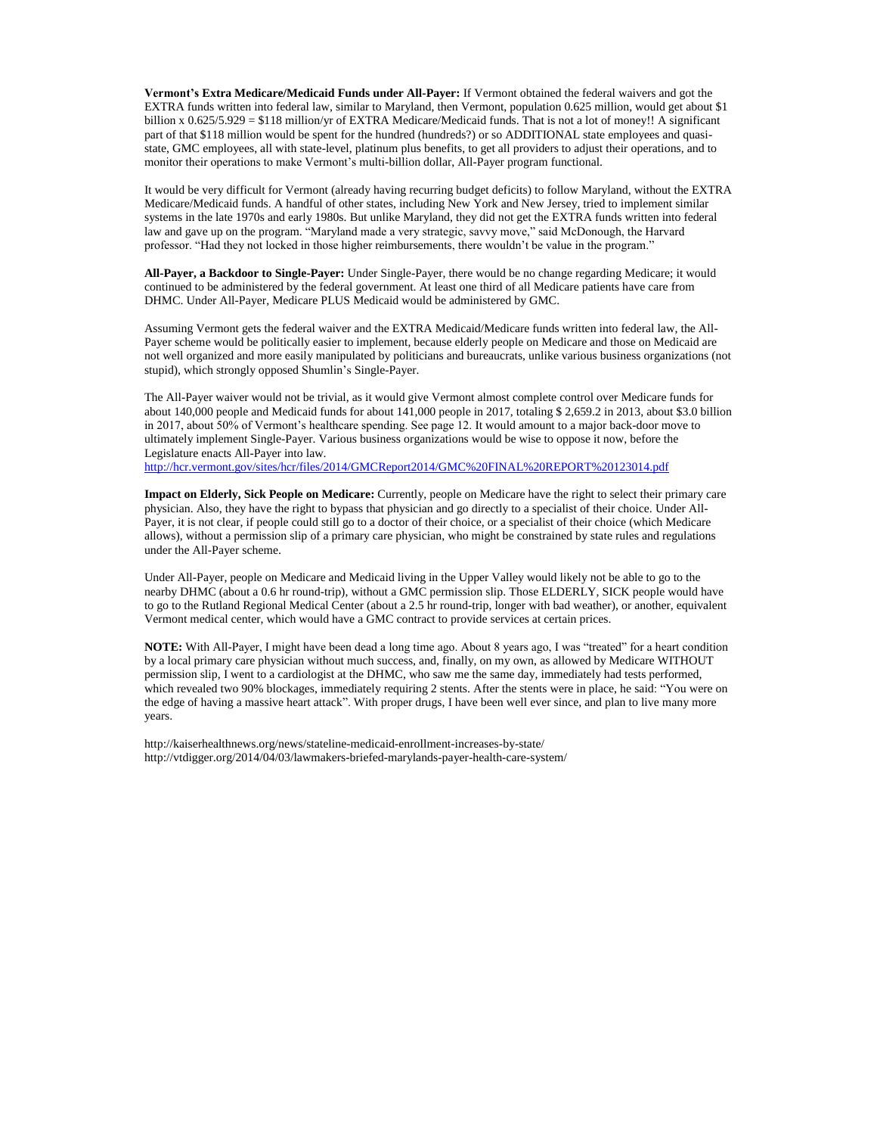**Vermont's Extra Medicare/Medicaid Funds under All-Payer:** If Vermont obtained the federal waivers and got the EXTRA funds written into federal law, similar to Maryland, then Vermont, population 0.625 million, would get about \$1 billion x 0.625/5.929 = \$118 million/yr of EXTRA Medicare/Medicaid funds. That is not a lot of money!! A significant part of that \$118 million would be spent for the hundred (hundreds?) or so ADDITIONAL state employees and quasistate, GMC employees, all with state-level, platinum plus benefits, to get all providers to adjust their operations, and to monitor their operations to make Vermont's multi-billion dollar, All-Payer program functional.

It would be very difficult for Vermont (already having recurring budget deficits) to follow Maryland, without the EXTRA Medicare/Medicaid funds. A handful of other states, including New York and New Jersey, tried to implement similar systems in the late 1970s and early 1980s. But unlike Maryland, they did not get the EXTRA funds written into federal law and gave up on the program. "Maryland made a very strategic, savvy move," said McDonough, the Harvard professor. "Had they not locked in those higher reimbursements, there wouldn't be value in the program."

**All-Payer, a Backdoor to Single-Payer:** Under Single-Payer, there would be no change regarding Medicare; it would continued to be administered by the federal government. At least one third of all Medicare patients have care from DHMC. Under All-Payer, Medicare PLUS Medicaid would be administered by GMC.

Assuming Vermont gets the federal waiver and the EXTRA Medicaid/Medicare funds written into federal law, the All-Payer scheme would be politically easier to implement, because elderly people on Medicare and those on Medicaid are not well organized and more easily manipulated by politicians and bureaucrats, unlike various business organizations (not stupid), which strongly opposed Shumlin's Single-Payer.

The All-Payer waiver would not be trivial, as it would give Vermont almost complete control over Medicare funds for about 140,000 people and Medicaid funds for about 141,000 people in 2017, totaling \$ 2,659.2 in 2013, about \$3.0 billion in 2017, about 50% of Vermont's healthcare spending. See page 12. It would amount to a major back-door move to ultimately implement Single-Payer. Various business organizations would be wise to oppose it now, before the Legislature enacts All-Payer into law.

<http://hcr.vermont.gov/sites/hcr/files/2014/GMCReport2014/GMC%20FINAL%20REPORT%20123014.pdf>

**Impact on Elderly, Sick People on Medicare:** Currently, people on Medicare have the right to select their primary care physician. Also, they have the right to bypass that physician and go directly to a specialist of their choice. Under All-Payer, it is not clear, if people could still go to a doctor of their choice, or a specialist of their choice (which Medicare allows), without a permission slip of a primary care physician, who might be constrained by state rules and regulations under the All-Payer scheme.

Under All-Payer, people on Medicare and Medicaid living in the Upper Valley would likely not be able to go to the nearby DHMC (about a 0.6 hr round-trip), without a GMC permission slip. Those ELDERLY, SICK people would have to go to the Rutland Regional Medical Center (about a 2.5 hr round-trip, longer with bad weather), or another, equivalent Vermont medical center, which would have a GMC contract to provide services at certain prices.

**NOTE:** With All-Payer, I might have been dead a long time ago. About 8 years ago, I was "treated" for a heart condition by a local primary care physician without much success, and, finally, on my own, as allowed by Medicare WITHOUT permission slip, I went to a cardiologist at the DHMC, who saw me the same day, immediately had tests performed, which revealed two 90% blockages, immediately requiring 2 stents. After the stents were in place, he said: "You were on the edge of having a massive heart attack". With proper drugs, I have been well ever since, and plan to live many more years.

<http://kaiserhealthnews.org/news/stateline-medicaid-enrollment-increases-by-state/> <http://vtdigger.org/2014/04/03/lawmakers-briefed-marylands-payer-health-care-system/>